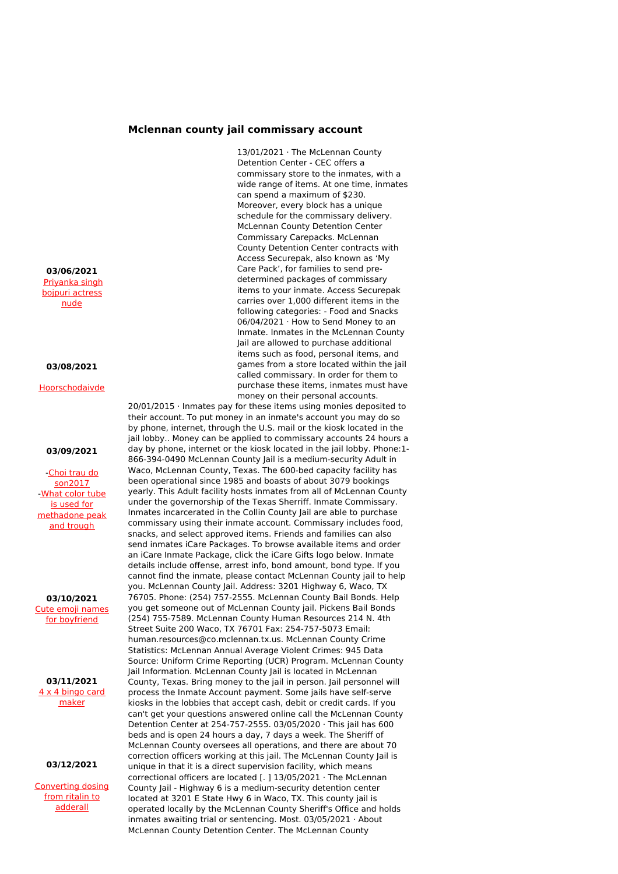# **Mclennan county jail commissary account**

13/01/2021 · The McLennan County Detention Center - CEC offers a commissary store to the inmates, with a wide range of items. At one time, inmates can spend a maximum of \$230. Moreover, every block has a unique schedule for the commissary delivery. McLennan County Detention Center Commissary Carepacks. McLennan County Detention Center contracts with Access Securepak, also known as 'My Care Pack', for families to send predetermined packages of commissary items to your inmate. Access Securepak carries over 1,000 different items in the following categories: - Food and Snacks 06/04/2021 · How to Send Money to an Inmate. Inmates in the McLennan County Jail are allowed to purchase additional items such as food, personal items, and games from a store located within the jail called commissary. In order for them to purchase these items, inmates must have money on their personal accounts.

20/01/2015 · Inmates pay for these items using monies deposited to their account. To put money in an inmate's account you may do so by phone, internet, through the U.S. mail or the kiosk located in the jail lobby.. Money can be applied to commissary accounts 24 hours a day by phone, internet or the kiosk located in the jail lobby. Phone:1- 866-394-0490 McLennan County Jail is a medium-security Adult in Waco, McLennan County, Texas. The 600-bed capacity facility has been operational since 1985 and boasts of about 3079 bookings yearly. This Adult facility hosts inmates from all of McLennan County under the governorship of the Texas Sherriff. Inmate Commissary. Inmates incarcerated in the Collin County Jail are able to purchase commissary using their inmate account. Commissary includes food, snacks, and select approved items. Friends and families can also send inmates iCare Packages. To browse available items and order an iCare Inmate Package, click the iCare Gifts logo below. Inmate details include offense, arrest info, bond amount, bond type. If you cannot find the inmate, please contact McLennan County jail to help you. McLennan County Jail. Address: 3201 Highway 6, Waco, TX 76705. Phone: (254) 757-2555. McLennan County Bail Bonds. Help you get someone out of McLennan County jail. Pickens Bail Bonds (254) 755-7589. McLennan County Human Resources 214 N. 4th Street Suite 200 Waco, TX 76701 Fax: 254-757-5073 Email: human.resources@co.mclennan.tx.us. McLennan County Crime Statistics: McLennan Annual Average Violent Crimes: 945 Data Source: Uniform Crime Reporting (UCR) Program. McLennan County Jail Information. McLennan County Jail is located in McLennan County, Texas. Bring money to the jail in person. Jail personnel will process the Inmate Account payment. Some jails have self-serve kiosks in the lobbies that accept cash, debit or credit cards. If you can't get your questions answered online call the McLennan County Detention Center at 254-757-2555. 03/05/2020 · This jail has 600 beds and is open 24 hours a day, 7 days a week. The Sheriff of McLennan County oversees all operations, and there are about 70 correction officers working at this jail. The McLennan County Jail is unique in that it is a direct supervision facility, which means correctional officers are located [. ] 13/05/2021 · The McLennan County Jail - Highway 6 is a medium-security detention center located at 3201 E State Hwy 6 in Waco, TX. This county jail is operated locally by the McLennan County Sheriff's Office and holds inmates awaiting trial or sentencing. Most. 03/05/2021 · About McLennan County Detention Center. The McLennan County

**03/06/2021** [Priyanka](https://szansaweb.pl/mu1) singh bojpuri actress nude

#### **03/08/2021**

#### [Hoorschodaivde](https://deathcamptour.pl/JFr)

## **03/09/2021**

-Choi trau do [son2017](https://glazurnicz.pl/TA) -What color tube is used for [methadone](https://deathcamptour.pl/or0) peak and trough

**03/10/2021** Cute emoji names for [boyfriend](https://deathcamptour.pl/AvH)

### **03/11/2021** 4 x 4 bingo card [maker](https://deathcamptour.pl/j9s)

### **03/12/2021**

[Converting](https://szansaweb.pl/KF1) dosing from ritalin to adderall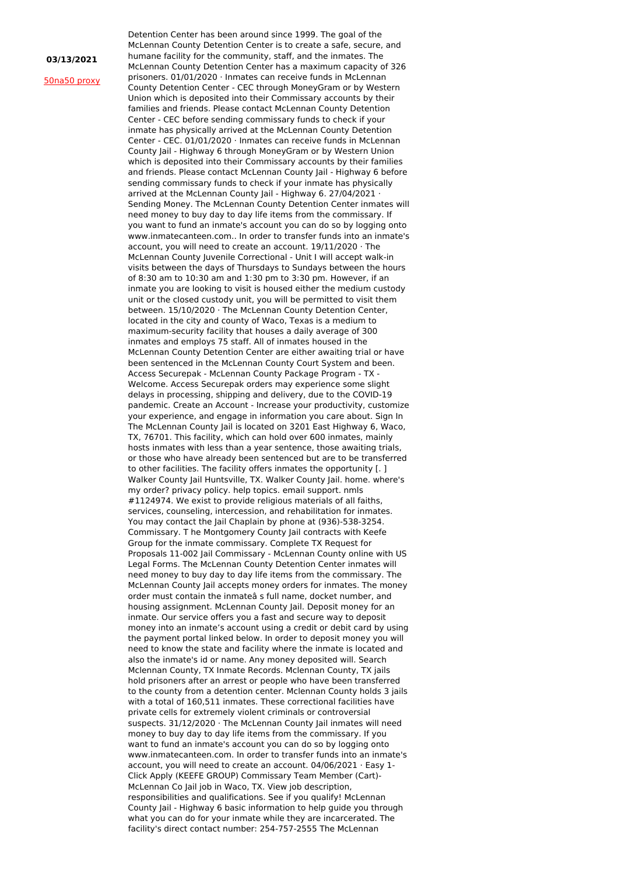**03/13/2021**

[50na50](https://glazurnicz.pl/6wm) proxy

Detention Center has been around since 1999. The goal of the McLennan County Detention Center is to create a safe, secure, and humane facility for the community, staff, and the inmates. The McLennan County Detention Center has a maximum capacity of 326 prisoners. 01/01/2020 · Inmates can receive funds in McLennan County Detention Center - CEC through MoneyGram or by Western Union which is deposited into their Commissary accounts by their families and friends. Please contact McLennan County Detention Center - CEC before sending commissary funds to check if your inmate has physically arrived at the McLennan County Detention Center - CEC. 01/01/2020 · Inmates can receive funds in McLennan County Jail - Highway 6 through MoneyGram or by Western Union which is deposited into their Commissary accounts by their families and friends. Please contact McLennan County Jail - Highway 6 before sending commissary funds to check if your inmate has physically arrived at the McLennan County Jail - Highway 6. 27/04/2021 · Sending Money. The McLennan County Detention Center inmates will need money to buy day to day life items from the commissary. If you want to fund an inmate's account you can do so by logging onto www.inmatecanteen.com.. In order to transfer funds into an inmate's account, you will need to create an account. 19/11/2020 · The McLennan County Juvenile Correctional - Unit I will accept walk-in visits between the days of Thursdays to Sundays between the hours of 8:30 am to 10:30 am and 1:30 pm to 3:30 pm. However, if an inmate you are looking to visit is housed either the medium custody unit or the closed custody unit, you will be permitted to visit them between. 15/10/2020 · The McLennan County Detention Center, located in the city and county of Waco, Texas is a medium to maximum-security facility that houses a daily average of 300 inmates and employs 75 staff. All of inmates housed in the McLennan County Detention Center are either awaiting trial or have been sentenced in the McLennan County Court System and been. Access Securepak - McLennan County Package Program - TX - Welcome. Access Securepak orders may experience some slight delays in processing, shipping and delivery, due to the COVID-19 pandemic. Create an Account - Increase your productivity, customize your experience, and engage in information you care about. Sign In The McLennan County Jail is located on 3201 East Highway 6, Waco, TX, 76701. This facility, which can hold over 600 inmates, mainly hosts inmates with less than a year sentence, those awaiting trials, or those who have already been sentenced but are to be transferred to other facilities. The facility offers inmates the opportunity [. ] Walker County Jail Huntsville, TX. Walker County Jail. home. where's my order? privacy policy. help topics. email support. nmls #1124974. We exist to provide religious materials of all faiths, services, counseling, intercession, and rehabilitation for inmates. You may contact the Jail Chaplain by phone at (936)-538-3254. Commissary. T he Montgomery County Jail contracts with Keefe Group for the inmate commissary. Complete TX Request for Proposals 11-002 Jail Commissary - McLennan County online with US Legal Forms. The McLennan County Detention Center inmates will need money to buy day to day life items from the commissary. The McLennan County Jail accepts money orders for inmates. The money order must contain the inmateâ s full name, docket number, and housing assignment. McLennan County Jail. Deposit money for an inmate. Our service offers you a fast and secure way to deposit money into an inmate's account using a credit or debit card by using the payment portal linked below. In order to deposit money you will need to know the state and facility where the inmate is located and also the inmate's id or name. Any money deposited will. Search Mclennan County, TX Inmate Records. Mclennan County, TX jails hold prisoners after an arrest or people who have been transferred to the county from a detention center. Mclennan County holds 3 jails with a total of 160,511 inmates. These correctional facilities have private cells for extremely violent criminals or controversial suspects. 31/12/2020 · The McLennan County Jail inmates will need money to buy day to day life items from the commissary. If you want to fund an inmate's account you can do so by logging onto www.inmatecanteen.com. In order to transfer funds into an inmate's account, you will need to create an account. 04/06/2021 · Easy 1- Click Apply (KEEFE GROUP) Commissary Team Member (Cart)- McLennan Co Jail job in Waco, TX. View job description, responsibilities and qualifications. See if you qualify! McLennan County Jail - Highway 6 basic information to help guide you through what you can do for your inmate while they are incarcerated. The facility's direct contact number: 254-757-2555 The McLennan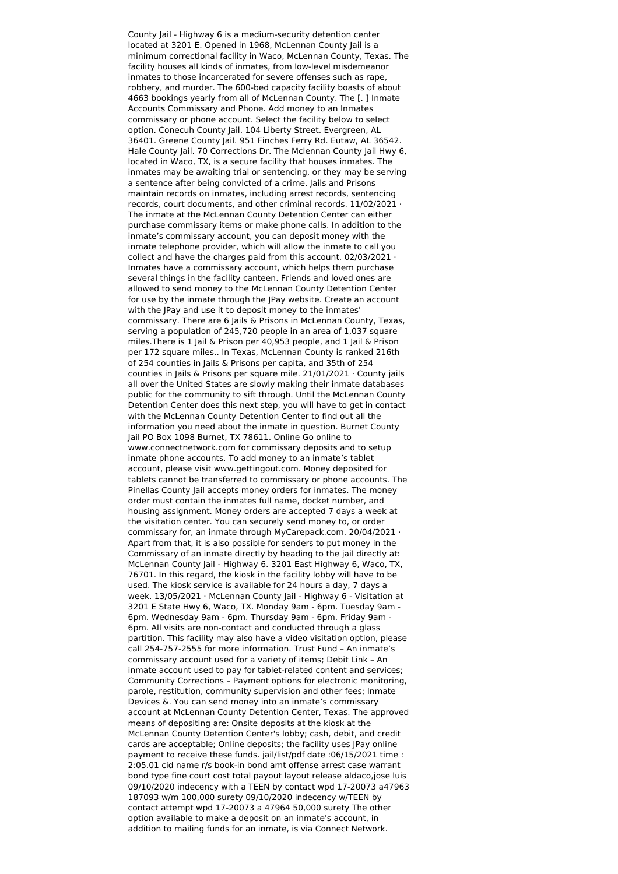County Jail - Highway 6 is a medium-security detention center located at 3201 E. Opened in 1968, McLennan County Jail is a minimum correctional facility in Waco, McLennan County, Texas. The facility houses all kinds of inmates, from low-level misdemeanor inmates to those incarcerated for severe offenses such as rape, robbery, and murder. The 600-bed capacity facility boasts of about 4663 bookings yearly from all of McLennan County. The [. ] Inmate Accounts Commissary and Phone. Add money to an Inmates commissary or phone account. Select the facility below to select option. Conecuh County Jail. 104 Liberty Street. Evergreen, AL 36401. Greene County Jail. 951 Finches Ferry Rd. Eutaw, AL 36542. Hale County Jail. 70 Corrections Dr. The Mclennan County Jail Hwy 6, located in Waco, TX, is a secure facility that houses inmates. The inmates may be awaiting trial or sentencing, or they may be serving a sentence after being convicted of a crime. Jails and Prisons maintain records on inmates, including arrest records, sentencing records, court documents, and other criminal records. 11/02/2021 The inmate at the McLennan County Detention Center can either purchase commissary items or make phone calls. In addition to the inmate's commissary account, you can deposit money with the inmate telephone provider, which will allow the inmate to call you collect and have the charges paid from this account. 02/03/2021 · Inmates have a commissary account, which helps them purchase several things in the facility canteen. Friends and loved ones are allowed to send money to the McLennan County Detention Center for use by the inmate through the JPay website. Create an account with the JPay and use it to deposit money to the inmates' commissary. There are 6 Jails & Prisons in McLennan County, Texas, serving a population of 245,720 people in an area of 1,037 square miles.There is 1 Jail & Prison per 40,953 people, and 1 Jail & Prison per 172 square miles.. In Texas, McLennan County is ranked 216th of 254 counties in Jails & Prisons per capita, and 35th of 254 counties in Jails & Prisons per square mile. 21/01/2021 · County jails all over the United States are slowly making their inmate databases public for the community to sift through. Until the McLennan County Detention Center does this next step, you will have to get in contact with the McLennan County Detention Center to find out all the information you need about the inmate in question. Burnet County Jail PO Box 1098 Burnet, TX 78611. Online Go online to www.connectnetwork.com for commissary deposits and to setup inmate phone accounts. To add money to an inmate's tablet account, please visit www.gettingout.com. Money deposited for tablets cannot be transferred to commissary or phone accounts. The Pinellas County Jail accepts money orders for inmates. The money order must contain the inmates full name, docket number, and housing assignment. Money orders are accepted 7 days a week at the visitation center. You can securely send money to, or order commissary for, an inmate through MyCarepack.com. 20/04/2021 · Apart from that, it is also possible for senders to put money in the Commissary of an inmate directly by heading to the jail directly at: McLennan County Jail - Highway 6. 3201 East Highway 6, Waco, TX, 76701. In this regard, the kiosk in the facility lobby will have to be used. The kiosk service is available for 24 hours a day, 7 days a week. 13/05/2021 · McLennan County Jail - Highway 6 - Visitation at 3201 E State Hwy 6, Waco, TX. Monday 9am - 6pm. Tuesday 9am - 6pm. Wednesday 9am - 6pm. Thursday 9am - 6pm. Friday 9am - 6pm. All visits are non-contact and conducted through a glass partition. This facility may also have a video visitation option, please call 254-757-2555 for more information. Trust Fund – An inmate's commissary account used for a variety of items; Debit Link – An inmate account used to pay for tablet-related content and services; Community Corrections – Payment options for electronic monitoring, parole, restitution, community supervision and other fees; Inmate Devices &. You can send money into an inmate's commissary account at McLennan County Detention Center, Texas. The approved means of depositing are: Onsite deposits at the kiosk at the McLennan County Detention Center's lobby; cash, debit, and credit cards are acceptable; Online deposits; the facility uses JPay online payment to receive these funds. jail/list/pdf date :06/15/2021 time : 2:05.01 cid name r/s book-in bond amt offense arrest case warrant bond type fine court cost total payout layout release aldaco,jose luis 09/10/2020 indecency with a TEEN by contact wpd 17-20073 a47963 187093 w/m 100,000 surety 09/10/2020 indecency w/TEEN by contact attempt wpd 17-20073 a 47964 50,000 surety The other option available to make a deposit on an inmate's account, in addition to mailing funds for an inmate, is via Connect Network.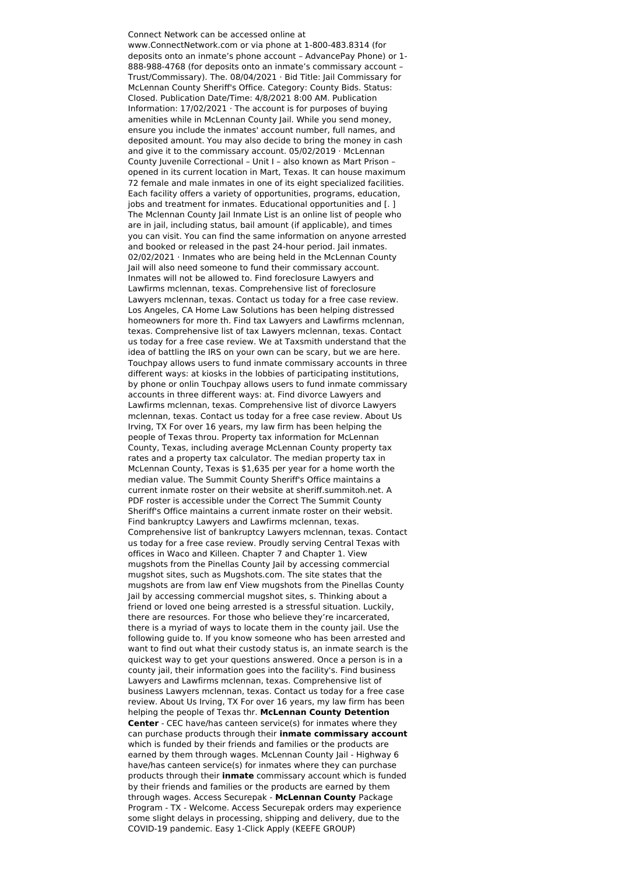Connect Network can be accessed online at www.ConnectNetwork.com or via phone at 1-800-483.8314 (for deposits onto an inmate's phone account – AdvancePay Phone) or 1- 888-988-4768 (for deposits onto an inmate's commissary account – Trust/Commissary). The. 08/04/2021 · Bid Title: Jail Commissary for McLennan County Sheriff's Office. Category: County Bids. Status: Closed. Publication Date/Time: 4/8/2021 8:00 AM. Publication Information: 17/02/2021 · The account is for purposes of buying amenities while in McLennan County Jail. While you send money, ensure you include the inmates' account number, full names, and deposited amount. You may also decide to bring the money in cash and give it to the commissary account. 05/02/2019 · McLennan County Juvenile Correctional – Unit I – also known as Mart Prison – opened in its current location in Mart, Texas. It can house maximum 72 female and male inmates in one of its eight specialized facilities. Each facility offers a variety of opportunities, programs, education, jobs and treatment for inmates. Educational opportunities and [.] The Mclennan County Jail Inmate List is an online list of people who are in jail, including status, bail amount (if applicable), and times you can visit. You can find the same information on anyone arrested and booked or released in the past 24-hour period. Jail inmates. 02/02/2021 · Inmates who are being held in the McLennan County Jail will also need someone to fund their commissary account. Inmates will not be allowed to. Find foreclosure Lawyers and Lawfirms mclennan, texas. Comprehensive list of foreclosure Lawyers mclennan, texas. Contact us today for a free case review. Los Angeles, CA Home Law Solutions has been helping distressed homeowners for more th. Find tax Lawyers and Lawfirms mclennan, texas. Comprehensive list of tax Lawyers mclennan, texas. Contact us today for a free case review. We at Taxsmith understand that the idea of battling the IRS on your own can be scary, but we are here. Touchpay allows users to fund inmate commissary accounts in three different ways: at kiosks in the lobbies of participating institutions, by phone or onlin Touchpay allows users to fund inmate commissary accounts in three different ways: at. Find divorce Lawyers and Lawfirms mclennan, texas. Comprehensive list of divorce Lawyers mclennan, texas. Contact us today for a free case review. About Us Irving, TX For over 16 years, my law firm has been helping the people of Texas throu. Property tax information for McLennan County, Texas, including average McLennan County property tax rates and a property tax calculator. The median property tax in McLennan County, Texas is \$1,635 per year for a home worth the median value. The Summit County Sheriff's Office maintains a current inmate roster on their website at sheriff.summitoh.net. A PDF roster is accessible under the Correct The Summit County Sheriff's Office maintains a current inmate roster on their websit. Find bankruptcy Lawyers and Lawfirms mclennan, texas. Comprehensive list of bankruptcy Lawyers mclennan, texas. Contact us today for a free case review. Proudly serving Central Texas with offices in Waco and Killeen. Chapter 7 and Chapter 1. View mugshots from the Pinellas County Jail by accessing commercial mugshot sites, such as Mugshots.com. The site states that the mugshots are from law enf View mugshots from the Pinellas County Jail by accessing commercial mugshot sites, s. Thinking about a friend or loved one being arrested is a stressful situation. Luckily, there are resources. For those who believe they're incarcerated, there is a myriad of ways to locate them in the county jail. Use the following guide to. If you know someone who has been arrested and want to find out what their custody status is, an inmate search is the quickest way to get your questions answered. Once a person is in a county jail, their information goes into the facility's. Find business Lawyers and Lawfirms mclennan, texas. Comprehensive list of business Lawyers mclennan, texas. Contact us today for a free case review. About Us Irving, TX For over 16 years, my law firm has been helping the people of Texas thr. **McLennan County Detention Center** - CEC have/has canteen service(s) for inmates where they can purchase products through their **inmate commissary account** which is funded by their friends and families or the products are earned by them through wages. McLennan County Jail - Highway 6 have/has canteen service(s) for inmates where they can purchase products through their **inmate** commissary account which is funded by their friends and families or the products are earned by them through wages. Access Securepak - **McLennan County** Package Program - TX - Welcome. Access Securepak orders may experience some slight delays in processing, shipping and delivery, due to the COVID-19 pandemic. Easy 1-Click Apply (KEEFE GROUP)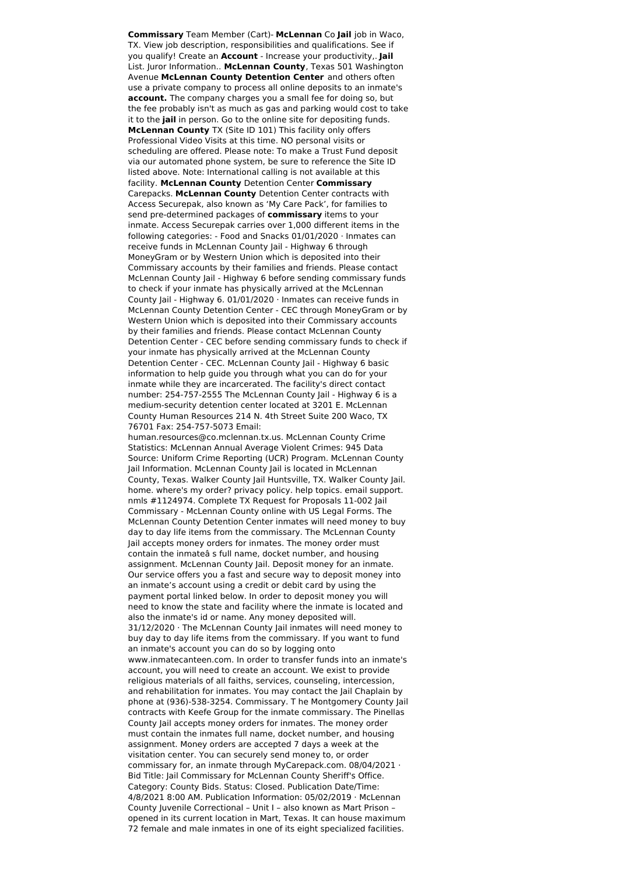**Commissary** Team Member (Cart)- **McLennan** Co **Jail** job in Waco, TX. View job description, responsibilities and qualifications. See if you qualify! Create an **Account** - Increase your productivity,. **Jail** List. Juror Information.. **McLennan County**, Texas 501 Washington Avenue **McLennan County Detention Center** and others often use a private company to process all online deposits to an inmate's **account.** The company charges you a small fee for doing so, but the fee probably isn't as much as gas and parking would cost to take it to the **jail** in person. Go to the online site for depositing funds. **McLennan County** TX (Site ID 101) This facility only offers Professional Video Visits at this time. NO personal visits or scheduling are offered. Please note: To make a Trust Fund deposit via our automated phone system, be sure to reference the Site ID listed above. Note: International calling is not available at this facility. **McLennan County** Detention Center **Commissary** Carepacks. **McLennan County** Detention Center contracts with Access Securepak, also known as 'My Care Pack', for families to send pre-determined packages of **commissary** items to your inmate. Access Securepak carries over 1,000 different items in the following categories: - Food and Snacks 01/01/2020 · Inmates can receive funds in McLennan County Jail - Highway 6 through MoneyGram or by Western Union which is deposited into their Commissary accounts by their families and friends. Please contact McLennan County Jail - Highway 6 before sending commissary funds to check if your inmate has physically arrived at the McLennan County Jail - Highway 6. 01/01/2020 · Inmates can receive funds in McLennan County Detention Center - CEC through MoneyGram or by Western Union which is deposited into their Commissary accounts by their families and friends. Please contact McLennan County Detention Center - CEC before sending commissary funds to check if your inmate has physically arrived at the McLennan County Detention Center - CEC. McLennan County Jail - Highway 6 basic information to help guide you through what you can do for your inmate while they are incarcerated. The facility's direct contact number: 254-757-2555 The McLennan County Jail - Highway 6 is a medium-security detention center located at 3201 E. McLennan County Human Resources 214 N. 4th Street Suite 200 Waco, TX 76701 Fax: 254-757-5073 Email:

human.resources@co.mclennan.tx.us. McLennan County Crime Statistics: McLennan Annual Average Violent Crimes: 945 Data Source: Uniform Crime Reporting (UCR) Program. McLennan County Jail Information. McLennan County Jail is located in McLennan County, Texas. Walker County Jail Huntsville, TX. Walker County Jail. home. where's my order? privacy policy. help topics. email support. nmls #1124974. Complete TX Request for Proposals 11-002 Jail Commissary - McLennan County online with US Legal Forms. The McLennan County Detention Center inmates will need money to buy day to day life items from the commissary. The McLennan County Jail accepts money orders for inmates. The money order must contain the inmateâ s full name, docket number, and housing assignment. McLennan County Jail. Deposit money for an inmate. Our service offers you a fast and secure way to deposit money into an inmate's account using a credit or debit card by using the payment portal linked below. In order to deposit money you will need to know the state and facility where the inmate is located and also the inmate's id or name. Any money deposited will. 31/12/2020 · The McLennan County Jail inmates will need money to buy day to day life items from the commissary. If you want to fund an inmate's account you can do so by logging onto www.inmatecanteen.com. In order to transfer funds into an inmate's account, you will need to create an account. We exist to provide religious materials of all faiths, services, counseling, intercession, and rehabilitation for inmates. You may contact the Jail Chaplain by phone at (936)-538-3254. Commissary. T he Montgomery County Jail contracts with Keefe Group for the inmate commissary. The Pinellas County Jail accepts money orders for inmates. The money order must contain the inmates full name, docket number, and housing assignment. Money orders are accepted 7 days a week at the visitation center. You can securely send money to, or order commissary for, an inmate through MyCarepack.com. 08/04/2021 · Bid Title: Jail Commissary for McLennan County Sheriff's Office. Category: County Bids. Status: Closed. Publication Date/Time: 4/8/2021 8:00 AM. Publication Information: 05/02/2019 · McLennan County Juvenile Correctional – Unit I – also known as Mart Prison – opened in its current location in Mart, Texas. It can house maximum 72 female and male inmates in one of its eight specialized facilities.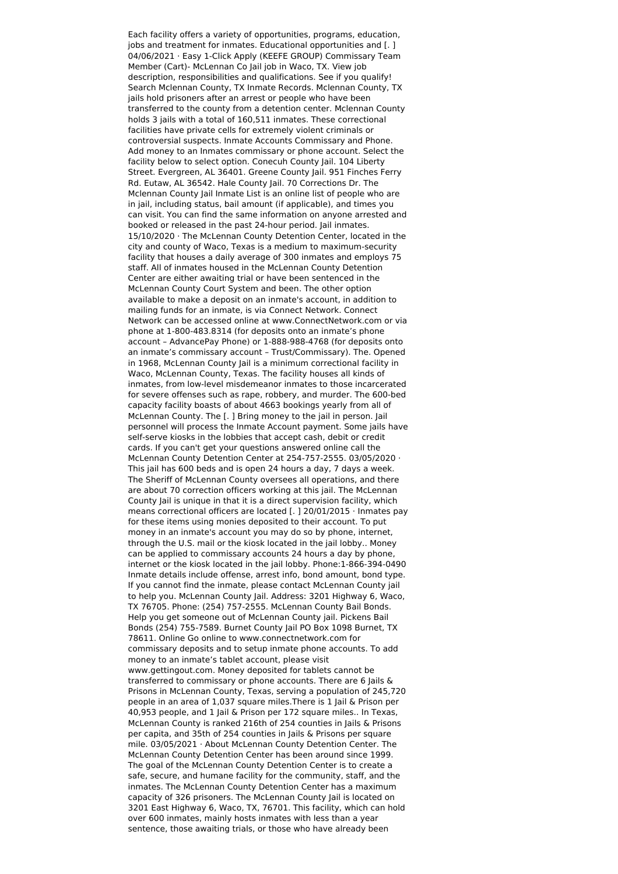Each facility offers a variety of opportunities, programs, education, jobs and treatment for inmates. Educational opportunities and [. ] 04/06/2021 · Easy 1-Click Apply (KEEFE GROUP) Commissary Team Member (Cart)- McLennan Co Jail job in Waco, TX. View job description, responsibilities and qualifications. See if you qualify! Search Mclennan County, TX Inmate Records. Mclennan County, TX jails hold prisoners after an arrest or people who have been transferred to the county from a detention center. Mclennan County holds 3 jails with a total of 160,511 inmates. These correctional facilities have private cells for extremely violent criminals or controversial suspects. Inmate Accounts Commissary and Phone. Add money to an Inmates commissary or phone account. Select the facility below to select option. Conecuh County Jail. 104 Liberty Street. Evergreen, AL 36401. Greene County Jail. 951 Finches Ferry Rd. Eutaw, AL 36542. Hale County Jail. 70 Corrections Dr. The Mclennan County Jail Inmate List is an online list of people who are in jail, including status, bail amount (if applicable), and times you can visit. You can find the same information on anyone arrested and booked or released in the past 24-hour period. Jail inmates. 15/10/2020 · The McLennan County Detention Center, located in the city and county of Waco, Texas is a medium to maximum-security facility that houses a daily average of 300 inmates and employs 75 staff. All of inmates housed in the McLennan County Detention Center are either awaiting trial or have been sentenced in the McLennan County Court System and been. The other option available to make a deposit on an inmate's account, in addition to mailing funds for an inmate, is via Connect Network. Connect Network can be accessed online at www.ConnectNetwork.com or via phone at 1-800-483.8314 (for deposits onto an inmate's phone account – AdvancePay Phone) or 1-888-988-4768 (for deposits onto an inmate's commissary account – Trust/Commissary). The. Opened in 1968, McLennan County Jail is a minimum correctional facility in Waco, McLennan County, Texas. The facility houses all kinds of inmates, from low-level misdemeanor inmates to those incarcerated for severe offenses such as rape, robbery, and murder. The 600-bed capacity facility boasts of about 4663 bookings yearly from all of McLennan County. The [. ] Bring money to the jail in person. Jail personnel will process the Inmate Account payment. Some jails have self-serve kiosks in the lobbies that accept cash, debit or credit cards. If you can't get your questions answered online call the McLennan County Detention Center at 254-757-2555. 03/05/2020 · This jail has 600 beds and is open 24 hours a day, 7 days a week. The Sheriff of McLennan County oversees all operations, and there are about 70 correction officers working at this jail. The McLennan County Jail is unique in that it is a direct supervision facility, which means correctional officers are located [. ] 20/01/2015 · Inmates pay for these items using monies deposited to their account. To put money in an inmate's account you may do so by phone, internet, through the U.S. mail or the kiosk located in the jail lobby.. Money can be applied to commissary accounts 24 hours a day by phone, internet or the kiosk located in the jail lobby. Phone:1-866-394-0490 Inmate details include offense, arrest info, bond amount, bond type. If you cannot find the inmate, please contact McLennan County jail to help you. McLennan County Jail. Address: 3201 Highway 6, Waco, TX 76705. Phone: (254) 757-2555. McLennan County Bail Bonds. Help you get someone out of McLennan County jail. Pickens Bail Bonds (254) 755-7589. Burnet County Jail PO Box 1098 Burnet, TX 78611. Online Go online to www.connectnetwork.com for commissary deposits and to setup inmate phone accounts. To add money to an inmate's tablet account, please visit www.gettingout.com. Money deposited for tablets cannot be transferred to commissary or phone accounts. There are 6 Jails & Prisons in McLennan County, Texas, serving a population of 245,720 people in an area of 1,037 square miles.There is 1 Jail & Prison per 40,953 people, and 1 Jail & Prison per 172 square miles.. In Texas, McLennan County is ranked 216th of 254 counties in Jails & Prisons per capita, and 35th of 254 counties in Jails & Prisons per square mile. 03/05/2021 · About McLennan County Detention Center. The McLennan County Detention Center has been around since 1999. The goal of the McLennan County Detention Center is to create a safe, secure, and humane facility for the community, staff, and the inmates. The McLennan County Detention Center has a maximum capacity of 326 prisoners. The McLennan County Jail is located on 3201 East Highway 6, Waco, TX, 76701. This facility, which can hold over 600 inmates, mainly hosts inmates with less than a year sentence, those awaiting trials, or those who have already been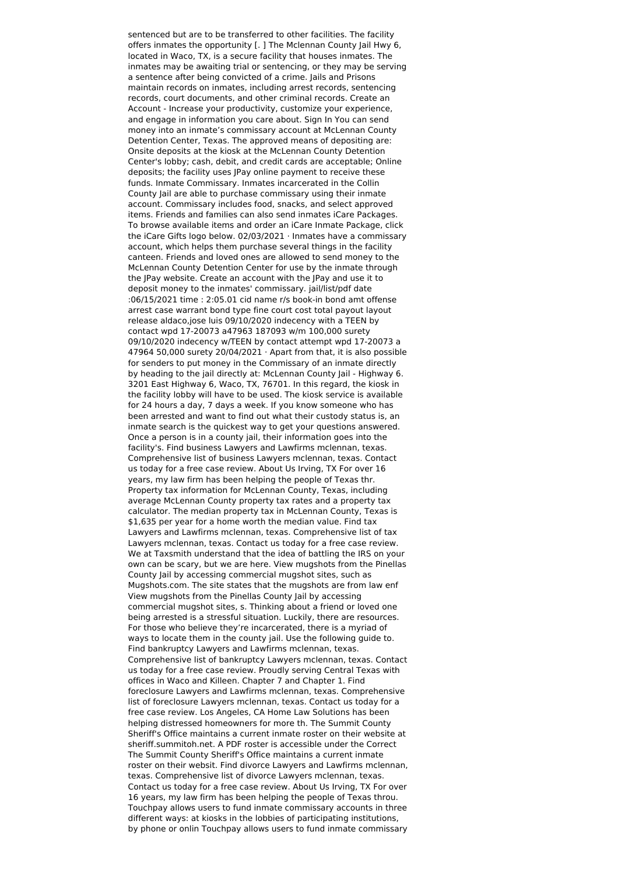sentenced but are to be transferred to other facilities. The facility offers inmates the opportunity [. ] The Mclennan County Jail Hwy 6, located in Waco, TX, is a secure facility that houses inmates. The inmates may be awaiting trial or sentencing, or they may be serving a sentence after being convicted of a crime. Jails and Prisons maintain records on inmates, including arrest records, sentencing records, court documents, and other criminal records. Create an Account - Increase your productivity, customize your experience, and engage in information you care about. Sign In You can send money into an inmate's commissary account at McLennan County Detention Center, Texas. The approved means of depositing are: Onsite deposits at the kiosk at the McLennan County Detention Center's lobby; cash, debit, and credit cards are acceptable; Online deposits; the facility uses JPay online payment to receive these funds. Inmate Commissary. Inmates incarcerated in the Collin County Jail are able to purchase commissary using their inmate account. Commissary includes food, snacks, and select approved items. Friends and families can also send inmates iCare Packages. To browse available items and order an iCare Inmate Package, click the iCare Gifts logo below. 02/03/2021 · Inmates have a commissary account, which helps them purchase several things in the facility canteen. Friends and loved ones are allowed to send money to the McLennan County Detention Center for use by the inmate through the JPay website. Create an account with the JPay and use it to deposit money to the inmates' commissary. jail/list/pdf date :06/15/2021 time : 2:05.01 cid name r/s book-in bond amt offense arrest case warrant bond type fine court cost total payout layout release aldaco,jose luis 09/10/2020 indecency with a TEEN by contact wpd 17-20073 a47963 187093 w/m 100,000 surety 09/10/2020 indecency w/TEEN by contact attempt wpd 17-20073 a 47964 50,000 surety 20/04/2021 · Apart from that, it is also possible for senders to put money in the Commissary of an inmate directly by heading to the jail directly at: McLennan County Jail - Highway 6. 3201 East Highway 6, Waco, TX, 76701. In this regard, the kiosk in the facility lobby will have to be used. The kiosk service is available for 24 hours a day, 7 days a week. If you know someone who has been arrested and want to find out what their custody status is, an inmate search is the quickest way to get your questions answered. Once a person is in a county jail, their information goes into the facility's. Find business Lawyers and Lawfirms mclennan, texas. Comprehensive list of business Lawyers mclennan, texas. Contact us today for a free case review. About Us Irving, TX For over 16 years, my law firm has been helping the people of Texas thr. Property tax information for McLennan County, Texas, including average McLennan County property tax rates and a property tax calculator. The median property tax in McLennan County, Texas is \$1,635 per year for a home worth the median value. Find tax Lawyers and Lawfirms mclennan, texas. Comprehensive list of tax Lawyers mclennan, texas. Contact us today for a free case review. We at Taxsmith understand that the idea of battling the IRS on your own can be scary, but we are here. View mugshots from the Pinellas County Jail by accessing commercial mugshot sites, such as Mugshots.com. The site states that the mugshots are from law enf View mugshots from the Pinellas County Jail by accessing commercial mugshot sites, s. Thinking about a friend or loved one being arrested is a stressful situation. Luckily, there are resources. For those who believe they're incarcerated, there is a myriad of ways to locate them in the county jail. Use the following guide to. Find bankruptcy Lawyers and Lawfirms mclennan, texas. Comprehensive list of bankruptcy Lawyers mclennan, texas. Contact us today for a free case review. Proudly serving Central Texas with offices in Waco and Killeen. Chapter 7 and Chapter 1. Find foreclosure Lawyers and Lawfirms mclennan, texas. Comprehensive list of foreclosure Lawyers mclennan, texas. Contact us today for a free case review. Los Angeles, CA Home Law Solutions has been helping distressed homeowners for more th. The Summit County Sheriff's Office maintains a current inmate roster on their website at sheriff.summitoh.net. A PDF roster is accessible under the Correct The Summit County Sheriff's Office maintains a current inmate roster on their websit. Find divorce Lawyers and Lawfirms mclennan, texas. Comprehensive list of divorce Lawyers mclennan, texas. Contact us today for a free case review. About Us Irving, TX For over 16 years, my law firm has been helping the people of Texas throu. Touchpay allows users to fund inmate commissary accounts in three different ways: at kiosks in the lobbies of participating institutions, by phone or onlin Touchpay allows users to fund inmate commissary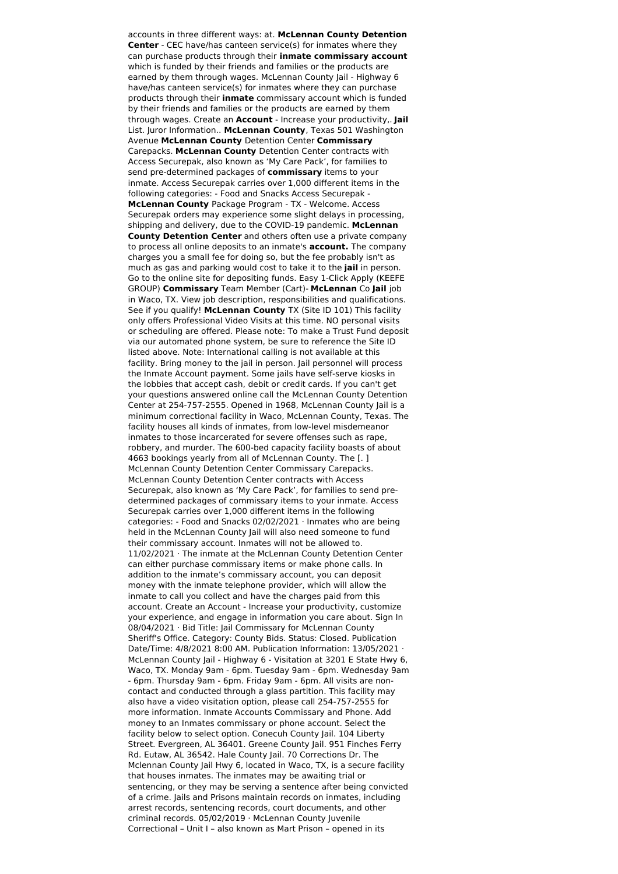accounts in three different ways: at. **McLennan County Detention Center** - CEC have/has canteen service(s) for inmates where they can purchase products through their **inmate commissary account** which is funded by their friends and families or the products are earned by them through wages. McLennan County Jail - Highway 6 have/has canteen service(s) for inmates where they can purchase products through their **inmate** commissary account which is funded by their friends and families or the products are earned by them through wages. Create an **Account** - Increase your productivity,. **Jail** List. Juror Information.. **McLennan County**, Texas 501 Washington Avenue **McLennan County** Detention Center **Commissary** Carepacks. **McLennan County** Detention Center contracts with Access Securepak, also known as 'My Care Pack', for families to send pre-determined packages of **commissary** items to your inmate. Access Securepak carries over 1,000 different items in the following categories: - Food and Snacks Access Securepak - **McLennan County** Package Program - TX - Welcome. Access Securepak orders may experience some slight delays in processing, shipping and delivery, due to the COVID-19 pandemic. **McLennan County Detention Center** and others often use a private company to process all online deposits to an inmate's **account.** The company charges you a small fee for doing so, but the fee probably isn't as much as gas and parking would cost to take it to the **jail** in person. Go to the online site for depositing funds. Easy 1-Click Apply (KEEFE GROUP) **Commissary** Team Member (Cart)- **McLennan** Co **Jail** job in Waco, TX. View job description, responsibilities and qualifications. See if you qualify! **McLennan County** TX (Site ID 101) This facility only offers Professional Video Visits at this time. NO personal visits or scheduling are offered. Please note: To make a Trust Fund deposit via our automated phone system, be sure to reference the Site ID listed above. Note: International calling is not available at this facility. Bring money to the jail in person. Jail personnel will process the Inmate Account payment. Some jails have self-serve kiosks in the lobbies that accept cash, debit or credit cards. If you can't get your questions answered online call the McLennan County Detention Center at 254-757-2555. Opened in 1968, McLennan County Jail is a minimum correctional facility in Waco, McLennan County, Texas. The facility houses all kinds of inmates, from low-level misdemeanor inmates to those incarcerated for severe offenses such as rape, robbery, and murder. The 600-bed capacity facility boasts of about 4663 bookings yearly from all of McLennan County. The [. ] McLennan County Detention Center Commissary Carepacks. McLennan County Detention Center contracts with Access Securepak, also known as 'My Care Pack', for families to send predetermined packages of commissary items to your inmate. Access Securepak carries over 1,000 different items in the following categories: - Food and Snacks 02/02/2021 · Inmates who are being held in the McLennan County Jail will also need someone to fund their commissary account. Inmates will not be allowed to. 11/02/2021 · The inmate at the McLennan County Detention Center can either purchase commissary items or make phone calls. In addition to the inmate's commissary account, you can deposit money with the inmate telephone provider, which will allow the inmate to call you collect and have the charges paid from this account. Create an Account - Increase your productivity, customize your experience, and engage in information you care about. Sign In 08/04/2021 · Bid Title: Jail Commissary for McLennan County Sheriff's Office. Category: County Bids. Status: Closed. Publication Date/Time: 4/8/2021 8:00 AM. Publication Information: 13/05/2021 · McLennan County Jail - Highway 6 - Visitation at 3201 E State Hwy 6, Waco, TX. Monday 9am - 6pm. Tuesday 9am - 6pm. Wednesday 9am - 6pm. Thursday 9am - 6pm. Friday 9am - 6pm. All visits are noncontact and conducted through a glass partition. This facility may also have a video visitation option, please call 254-757-2555 for more information. Inmate Accounts Commissary and Phone. Add money to an Inmates commissary or phone account. Select the facility below to select option. Conecuh County Jail. 104 Liberty Street. Evergreen, AL 36401. Greene County Jail. 951 Finches Ferry Rd. Eutaw, AL 36542. Hale County Jail. 70 Corrections Dr. The Mclennan County Jail Hwy 6, located in Waco, TX, is a secure facility that houses inmates. The inmates may be awaiting trial or sentencing, or they may be serving a sentence after being convicted of a crime. Jails and Prisons maintain records on inmates, including arrest records, sentencing records, court documents, and other criminal records. 05/02/2019 · McLennan County Juvenile Correctional – Unit I – also known as Mart Prison – opened in its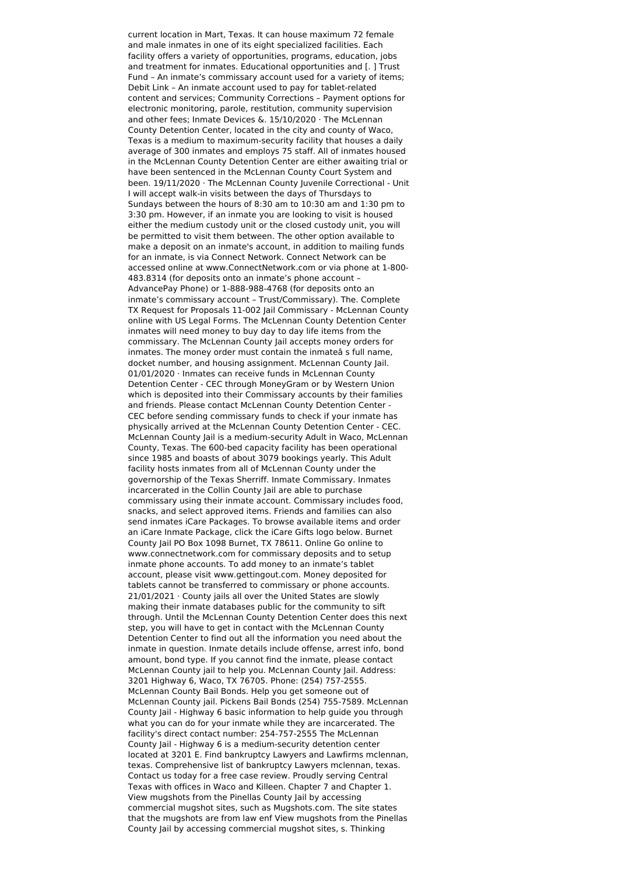current location in Mart, Texas. It can house maximum 72 female and male inmates in one of its eight specialized facilities. Each facility offers a variety of opportunities, programs, education, jobs and treatment for inmates. Educational opportunities and [. ] Trust Fund – An inmate's commissary account used for a variety of items; Debit Link – An inmate account used to pay for tablet-related content and services; Community Corrections – Payment options for electronic monitoring, parole, restitution, community supervision and other fees; Inmate Devices &. 15/10/2020 · The McLennan County Detention Center, located in the city and county of Waco, Texas is a medium to maximum-security facility that houses a daily average of 300 inmates and employs 75 staff. All of inmates housed in the McLennan County Detention Center are either awaiting trial or have been sentenced in the McLennan County Court System and been. 19/11/2020 · The McLennan County Juvenile Correctional - Unit I will accept walk-in visits between the days of Thursdays to Sundays between the hours of 8:30 am to 10:30 am and 1:30 pm to 3:30 pm. However, if an inmate you are looking to visit is housed either the medium custody unit or the closed custody unit, you will be permitted to visit them between. The other option available to make a deposit on an inmate's account, in addition to mailing funds for an inmate, is via Connect Network. Connect Network can be accessed online at www.ConnectNetwork.com or via phone at 1-800- 483.8314 (for deposits onto an inmate's phone account – AdvancePay Phone) or 1-888-988-4768 (for deposits onto an inmate's commissary account – Trust/Commissary). The. Complete TX Request for Proposals 11-002 Jail Commissary - McLennan County online with US Legal Forms. The McLennan County Detention Center inmates will need money to buy day to day life items from the commissary. The McLennan County Jail accepts money orders for inmates. The money order must contain the inmateâ s full name, docket number, and housing assignment. McLennan County Jail. 01/01/2020 · Inmates can receive funds in McLennan County Detention Center - CEC through MoneyGram or by Western Union which is deposited into their Commissary accounts by their families and friends. Please contact McLennan County Detention Center - CEC before sending commissary funds to check if your inmate has physically arrived at the McLennan County Detention Center - CEC. McLennan County Jail is a medium-security Adult in Waco, McLennan County, Texas. The 600-bed capacity facility has been operational since 1985 and boasts of about 3079 bookings yearly. This Adult facility hosts inmates from all of McLennan County under the governorship of the Texas Sherriff. Inmate Commissary. Inmates incarcerated in the Collin County Jail are able to purchase commissary using their inmate account. Commissary includes food, snacks, and select approved items. Friends and families can also send inmates iCare Packages. To browse available items and order an iCare Inmate Package, click the iCare Gifts logo below. Burnet County Jail PO Box 1098 Burnet, TX 78611. Online Go online to www.connectnetwork.com for commissary deposits and to setup inmate phone accounts. To add money to an inmate's tablet account, please visit www.gettingout.com. Money deposited for tablets cannot be transferred to commissary or phone accounts. 21/01/2021 · County jails all over the United States are slowly making their inmate databases public for the community to sift through. Until the McLennan County Detention Center does this next step, you will have to get in contact with the McLennan County Detention Center to find out all the information you need about the inmate in question. Inmate details include offense, arrest info, bond amount, bond type. If you cannot find the inmate, please contact McLennan County jail to help you. McLennan County Jail. Address: 3201 Highway 6, Waco, TX 76705. Phone: (254) 757-2555. McLennan County Bail Bonds. Help you get someone out of McLennan County jail. Pickens Bail Bonds (254) 755-7589. McLennan County Jail - Highway 6 basic information to help guide you through what you can do for your inmate while they are incarcerated. The facility's direct contact number: 254-757-2555 The McLennan County Jail - Highway 6 is a medium-security detention center located at 3201 E. Find bankruptcy Lawyers and Lawfirms mclennan, texas. Comprehensive list of bankruptcy Lawyers mclennan, texas. Contact us today for a free case review. Proudly serving Central Texas with offices in Waco and Killeen. Chapter 7 and Chapter 1. View mugshots from the Pinellas County Jail by accessing commercial mugshot sites, such as Mugshots.com. The site states that the mugshots are from law enf View mugshots from the Pinellas County Jail by accessing commercial mugshot sites, s. Thinking